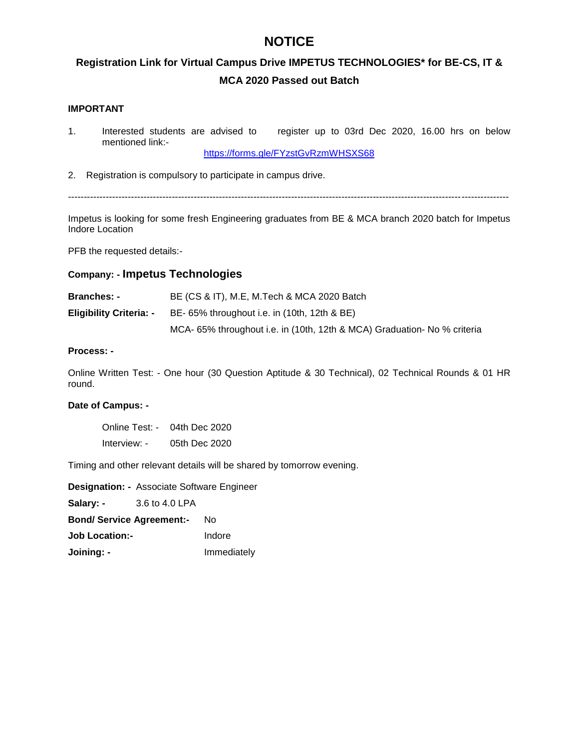### **NOTICE**

### **Registration Link for Virtual Campus Drive IMPETUS TECHNOLOGIES\* for BE-CS, IT & MCA 2020 Passed out Batch**

#### **IMPORTANT**

1. Interested students are advised to register up to 03rd Dec 2020, 16.00 hrs on below mentioned link:-

https://forms.gle/FYzstGvRzmWHSXS68

2. Registration is compulsory to participate in campus drive.

--------------------------------------------------------------------------------------------------------------------------------------------

Impetus is looking for some fresh Engineering graduates from BE & MCA branch 2020 batch for Impetus Indore Location

PFB the requested details:-

#### **Company: - Impetus Technologies**

| <b>Branches: -</b>             | BE (CS & IT), M.E, M.Tech & MCA 2020 Batch                               |
|--------------------------------|--------------------------------------------------------------------------|
| <b>Eligibility Criteria: -</b> | BE- 65% throughout i.e. in (10th, 12th & BE)                             |
|                                | MCA- 65% throughout i.e. in (10th, 12th & MCA) Graduation- No % criteria |

#### **Process: -**

Online Written Test: - One hour (30 Question Aptitude & 30 Technical), 02 Technical Rounds & 01 HR round.

#### **Date of Campus: -**

Online Test: - 04th Dec 2020 Interview: - 05th Dec 2020

Timing and other relevant details will be shared by tomorrow evening.

**Designation: -** Associate Software Engineer **Salary: -** 3.6 to 4.0 LPA **Bond/ Service Agreement:-** No **Job Location:-** Indore **Joining: -** Immediately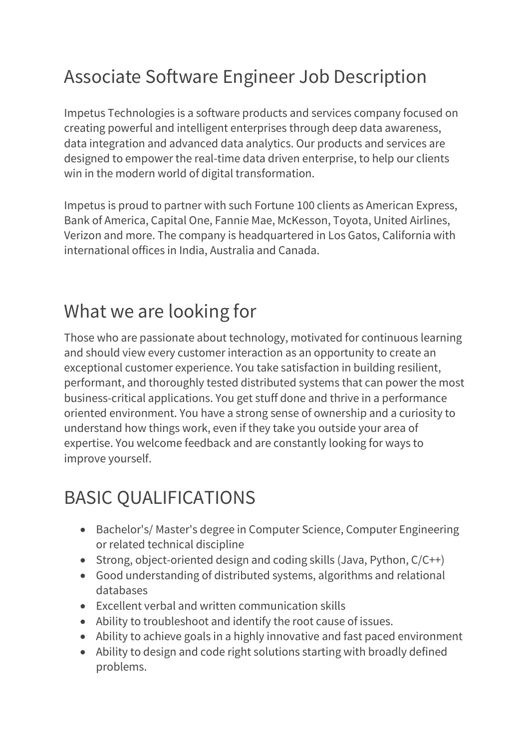# Associate Software Engineer Job Description

Impetus Technologies is a software products and services company focused on creating powerful and intelligent enterprises through deep data awareness, data integration and advanced data analytics. Our products and services are designed to empower the real-time data driven enterprise, to help our clients win in the modern world of digital transformation.

Impetus is proud to partner with such Fortune 100 clients as American Express, Bank of America, Capital One, Fannie Mae, McKesson, Toyota, United Airlines, Verizon and more. The company is headquartered in Los Gatos, California with international offices in India, Australia and Canada.

## What we are looking for

Those who are passionate about technology, motivated for continuous learning and should view every customer interaction as an opportunity to create an exceptional customer experience. You take satisfaction in building resilient, performant, and thoroughly tested distributed systems that can power the most business-critical applications. You get stuff done and thrive in a performance oriented environment. You have a strong sense of ownership and a curiosity to understand how things work, even if they take you outside your area of expertise. You welcome feedback and are constantly looking for ways to improve yourself.

## BASIC QUALIFICATIONS

- Bachelor's/ Master's degree in Computer Science, Computer Engineering or related technical discipline
- Strong, object-oriented design and coding skills (Java, Python,  $C/C++$ )
- Good understanding of distributed systems, algorithms and relational databases
- Excellent verbal and written communication skills
- Ability to troubleshoot and identify the root cause of issues.
- Ability to achieve goals in a highly innovative and fast paced environment
- Ability to design and code right solutions starting with broadly defined problems.